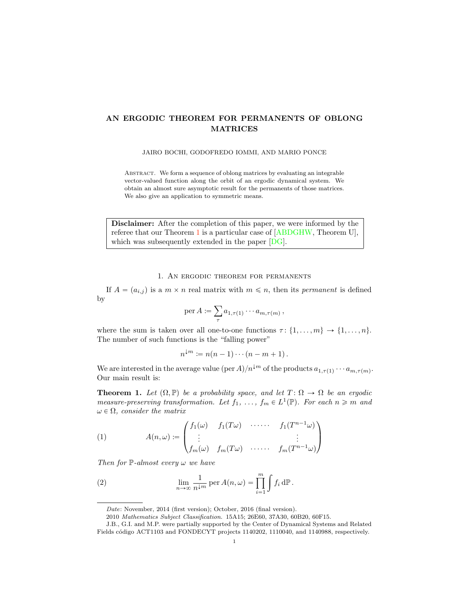## AN ERGODIC THEOREM FOR PERMANENTS OF OBLONG MATRICES

JAIRO BOCHI, GODOFREDO IOMMI, AND MARIO PONCE

Abstract. We form a sequence of oblong matrices by evaluating an integrable vector-valued function along the orbit of an ergodic dynamical system. We obtain an almost sure asymptotic result for the permanents of those matrices. We also give an application to symmetric means.

Disclaimer: After the completion of this paper, we were informed by the referee that our Theorem [1](#page-0-0) is a particular case of [\[ABDGHW,](#page-4-1) Theorem U], which was subsequently extended in the paper [\[DG\]](#page-4-0).

1. An ergodic theorem for permanents

If  $A = (a_{i,j})$  is a  $m \times n$  real matrix with  $m \leq n$ , then its *permanent* is defined by

$$
\operatorname{per} A := \sum_{\tau} a_{1,\tau(1)} \cdots a_{m,\tau(m)},
$$

where the sum is taken over all one-to-one functions  $\tau: \{1, \ldots, m\} \to \{1, \ldots, n\}.$ The number of such functions is the "falling power"

$$
n^{\downarrow m} := n(n-1)\cdots(n-m+1).
$$

We are interested in the average value (per  $A/n^{m}$  of the products  $a_{1,\tau(1)} \cdots a_{m,\tau(m)}$ . Our main result is:

<span id="page-0-0"></span>**Theorem 1.** Let  $(\Omega, \mathbb{P})$  be a probability space, and let  $T : \Omega \to \Omega$  be an ergodic *measure-preserving transformation. Let*  $f_1, \ldots, f_m \in L^1(\mathbb{P})$ *. For each*  $n \geq m$  *and*  $\omega \in \Omega$ , consider the matrix

<span id="page-0-1"></span>(1) 
$$
A(n,\omega) := \begin{pmatrix} f_1(\omega) & f_1(T\omega) & \cdots & f_1(T^{n-1}\omega) \\ \vdots & & & \vdots \\ f_m(\omega) & f_m(T\omega) & \cdots & f_m(T^{n-1}\omega) \end{pmatrix}
$$

*Then for* P*-almost every* ω *we have*

(2) 
$$
\lim_{n \to \infty} \frac{1}{n^{\downarrow m}} \operatorname{per} A(n, \omega) = \prod_{i=1}^{m} \int f_i d\mathbb{P}.
$$

<span id="page-0-2"></span>*Date*: November, 2014 (first version); October, 2016 (final version).

<sup>2010</sup> *Mathematics Subject Classification.* 15A15; 26E60, 37A30, 60B20, 60F15.

J.B., G.I. and M.P. were partially supported by the Center of Dynamical Systems and Related Fields código ACT1103 and FONDECYT projects 1140202, 1110040, and 1140988, respectively.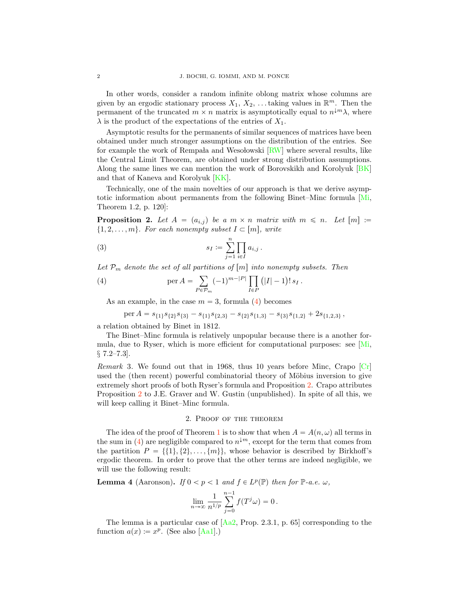In other words, consider a random infinite oblong matrix whose columns are given by an ergodic stationary process  $X_1, X_2, \ldots$  taking values in  $\mathbb{R}^m$ . Then the permanent of the truncated  $m \times n$  matrix is asymptotically equal to  $n^{\downarrow m} \lambda$ , where  $\lambda$  is the product of the expectations of the entries of  $X_1$ .

Asymptotic results for the permanents of similar sequences of matrices have been obtained under much stronger assumptions on the distribution of the entries. See for example the work of Rempa $a$  and Wesolowski  $\lfloor R/W \rfloor$  where several results, like the Central Limit Theorem, are obtained under strong distribution assumptions. Along the same lines we can mention the work of Borovskikh and Korolyuk [\[BK\]](#page-4-4) and that of Kaneva and Korolyuk [\[KK\]](#page-4-5).

Technically, one of the main novelties of our approach is that we derive asymptotic information about permanents from the following Binet–Minc formula [\[Mi,](#page-4-6) Theorem 1.2, p. 120]:

<span id="page-1-1"></span>**Proposition 2.** Let  $A = (a_{i,j})$  be a  $m \times n$  matrix with  $m \leq n$ . Let  $[m] :=$  $\{1, 2, \ldots, m\}$ *. For each nonempty subset*  $I \subset [m]$ *, write* 

<span id="page-1-2"></span>(3) 
$$
s_I := \sum_{j=1}^n \prod_{i \in I} a_{i,j} .
$$

Let  $P_m$  denote the set of all partitions of  $[m]$  into nonempty subsets. Then

(4) 
$$
\operatorname{per} A = \sum_{P \in \mathcal{P}_m} (-1)^{m-|P|} \prod_{I \in P} (|I| - 1)! s_I.
$$

As an example, in the case  $m = 3$ , formula [\(4\)](#page-1-0) becomes

<span id="page-1-0"></span>
$$
\text{per } A = s_{\{1\}}s_{\{2\}}s_{\{3\}} - s_{\{1\}}s_{\{2,3\}} - s_{\{2\}}s_{\{1,3\}} - s_{\{3\}}s_{\{1,2\}} + 2s_{\{1,2,3\}} \,,
$$

a relation obtained by Binet in 1812.

The Binet–Minc formula is relatively unpopular because there is a another formula, due to Ryser, which is more efficient for computational purposes: see  $\vert$ Mi, *§* 7.2–7.3].

*Remark* 3*.* We found out that in 1968, thus 10 years before Minc, Crapo [\[Cr\]](#page-4-7) used the (then recent) powerful combinatorial theory of Möbius inversion to give extremely short proofs of both Ryser's formula and Proposition [2.](#page-1-1) Crapo attributes Proposition [2](#page-1-1) to J.E. Graver and W. Gustin (unpublished). In spite of all this, we will keep calling it Binet–Minc formula.

## 2. Proof of the theorem

The idea of the proof of Theorem [1](#page-0-0) is to show that when  $A = A(n, \omega)$  all terms in the sum in [\(4\)](#page-1-0) are negligible compared to  $n^{\downarrow m}$ , except for the term that comes from the partition  $P = \{\{1\}, \{2\}, \ldots, \{m\}\}\$ , whose behavior is described by Birkhoff's ergodic theorem. In order to prove that the other terms are indeed negligible, we will use the following result:

<span id="page-1-3"></span>**Lemma 4** (Aaronson). *If*  $0 < p < 1$  *and*  $f \in L^p(\mathbb{P})$  *then for*  $\mathbb{P}$ *-a.e.*  $\omega$ *,* 

$$
\lim_{n\to\infty}\frac{1}{n^{1/p}}\sum_{j=0}^{n-1}f(T^j\omega)=0.
$$

The lemma is a particular case of  $[Aa2, Prop. 2.3.1, p. 65]$  $[Aa2, Prop. 2.3.1, p. 65]$  corresponding to the function  $a(x) := x^p$ . (See also [\[Aa1\]](#page-4-2).)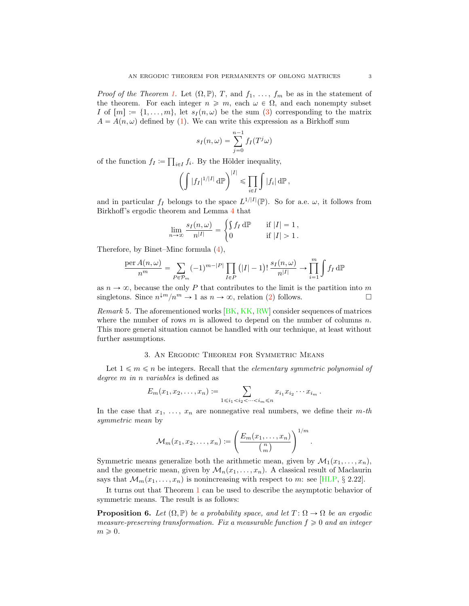*Proof of the Theorem [1.](#page-0-0)* Let  $(\Omega, \mathbb{P})$ , T, and  $f_1, \ldots, f_m$  be as in the statement of the theorem. For each integer  $n \geq m$ , each  $\omega \in \Omega$ , and each nonempty subset I of  $[m] := \{1, \ldots, m\}$ , let  $s_I(n, \omega)$  be the sum [\(3\)](#page-1-2) corresponding to the matrix  $A = A(n, \omega)$  defined by [\(1\)](#page-0-1). We can write this expression as a Birkhoff sum

$$
s_I(n,\omega) = \sum_{j=0}^{n-1} f_I(T^j\omega)
$$

of the function  $f_I := \prod_{i \in I} f_i$ . By the Hölder inequality,

$$
\left(\int |f_I|^{1/|I|} \, \mathrm{d}\mathbb{P}\right)^{|I|} \leq \prod_{i \in I} \int |f_i| \, \mathrm{d}\mathbb{P}\,,
$$

and in particular  $f_I$  belongs to the space  $L^{1/|I|}(\mathbb{P})$ . So for a.e.  $\omega$ , it follows from Birkhoff's ergodic theorem and Lemma [4](#page-1-3) that

$$
\lim_{n \to \infty} \frac{s_I(n, \omega)}{n^{|I|}} = \begin{cases} \int f_I d\mathbb{P} & \text{if } |I| = 1, \\ 0 & \text{if } |I| > 1. \end{cases}
$$

Therefore, by Binet–Minc formula [\(4\)](#page-1-0),

$$
\frac{\operatorname{per} A(n,\omega)}{n^m} = \sum_{P \in \mathcal{P}_m} (-1)^{m-|P|} \prod_{I \in P} \left( |I| - 1 \right)! \frac{s_I(n,\omega)}{n^{|I|}} \to \prod_{i=1}^m \int f_I \, d\mathbb{P}
$$

as  $n \to \infty$ , because the only P that contributes to the limit is the partition into m<br>singletons. Since  $n^{\downarrow m}/n^m \to 1$  as  $n \to \infty$ , relation (2) follows. singletons. Since  $n^{\downarrow m}/n^m \to 1$  as  $n \to \infty$ , relation [\(2\)](#page-0-2) follows.

*Remark* 5*.* The aforementioned works [\[BK,](#page-4-4) [KK,](#page-4-5) [RW\]](#page-4-3) consider sequences of matrices where the number of rows  $m$  is allowed to depend on the number of columns  $n$ . This more general situation cannot be handled with our technique, at least without further assumptions.

## 3. An Ergodic Theorem for Symmetric Means

Let  $1 \leq m \leq n$  be integers. Recall that the *elementary symmetric polynomial of degree* m *in* n *variables* is defined as

$$
E_m(x_1,x_2,\ldots,x_n) := \sum_{1 \leq i_1 < i_2 < \cdots < i_m \leq n} x_{i_1} x_{i_2} \cdots x_{i_m} \, .
$$

In the case that  $x_1, \ldots, x_n$  are nonnegative real numbers, we define their  $m$ -th *symmetric mean* by

$$
\mathcal{M}_m(x_1, x_2, \dots, x_n) \coloneqq \left(\frac{E_m(x_1, \dots, x_n)}{\binom{n}{m}}\right)^{1/m}
$$

.

Symmetric means generalize both the arithmetic mean, given by  $\mathcal{M}_1(x_1, \ldots, x_n)$ , and the geometric mean, given by  $\mathcal{M}_n(x_1, \ldots, x_n)$ . A classical result of Maclaurin says that  $\mathcal{M}_m(x_1, \ldots, x_n)$  is nonincreasing with respect to m: see [\[HLP,](#page-4-9) *§* 2.22].

It turns out that Theorem [1](#page-0-0) can be used to describe the asymptotic behavior of symmetric means. The result is as follows:

<span id="page-2-0"></span>**Proposition 6.** Let  $(\Omega, \mathbb{P})$  be a probability space, and let  $T : \Omega \to \Omega$  be an ergodic *measure-preserving transformation. Fix a measurable function*  $f \geq 0$  *and an integer*  $m \geqslant 0$ .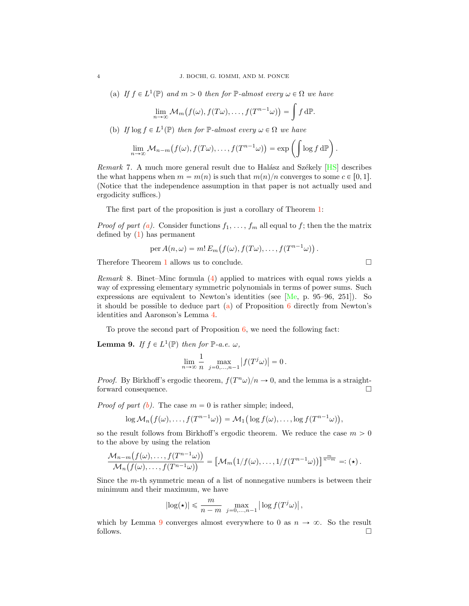<span id="page-3-1"></span>(a) *If*  $f \in L^1(\mathbb{P})$  *and*  $m > 0$  *then for*  $\mathbb{P}$ *-almost every*  $\omega \in \Omega$  *we have* 

$$
\lim_{n\to\infty} \mathcal{M}_m(f(\omega), f(T\omega), \dots, f(T^{n-1}\omega)) = \int f d\mathbb{P}.
$$

<span id="page-3-2"></span>(b) *If*  $\log f \in L^1(\mathbb{P})$  *then for*  $\mathbb{P}$ *-almost every*  $\omega \in \Omega$  *we have* 

$$
\lim_{n\to\infty} \mathcal{M}_{n-m}\big(f(\omega), f(T\omega), \ldots, f(T^{n-1}\omega)\big) = \exp\left(\int \log f \,d\mathbb{P}\right).
$$

*Remark* 7. A much more general result due to Halász and Székely [\[HS\]](#page-4-10) describes the what happens when  $m = m(n)$  is such that  $m(n)/n$  converges to some  $c \in [0, 1]$ . (Notice that the independence assumption in that paper is not actually used and ergodicity suffices.)

The first part of the proposition is just a corollary of Theorem [1:](#page-0-0)

*Proof of part [\(a\)](#page-3-1)*. Consider functions  $f_1, \ldots, f_m$  all equal to f; then the the matrix defined by [\(1\)](#page-0-1) has permanent

$$
\operatorname{per} A(n,\omega) = m! E_m(f(\omega), f(T\omega), \dots, f(T^{n-1}\omega)).
$$

Therefore Theorem [1](#page-0-0) allows us to conclude.  $\Box$ 

*Remark* 8*.* Binet–Minc formula [\(4\)](#page-1-0) applied to matrices with equal rows yields a way of expressing elementary symmetric polynomials in terms of power sums. Such expressions are equivalent to Newton's identities (see [\[Me,](#page-4-11) p. 95–96, 251]). So it should be possible to deduce part  $(a)$  of Proposition [6](#page-2-0) directly from Newton's identities and Aaronson's Lemma [4.](#page-1-3)

To prove the second part of Proposition [6,](#page-2-0) we need the following fact:

<span id="page-3-0"></span>**Lemma 9.** *If*  $f \in L^1(\mathbb{P})$  *then for*  $\mathbb{P}\text{-}a.e.$   $\omega$ *,* 

$$
\lim_{n \to \infty} \frac{1}{n} \max_{j=0,\ldots,n-1} |f(T^j \omega)| = 0.
$$

*Proof.* By Birkhoff's ergodic theorem,  $f(T^n \omega)/n \to 0$ , and the lemma is a straight-forward consequence. forward consequence.

*Proof of part*  $(b)$ *.* The case  $m = 0$  is rather simple; indeed,

$$
\log \mathcal{M}_n(f(\omega),\ldots,f(T^{n-1}\omega)) = \mathcal{M}_1(\log f(\omega),\ldots,\log f(T^{n-1}\omega)),
$$

so the result follows from Birkhoff's ergodic theorem. We reduce the case  $m > 0$ to the above by using the relation

$$
\frac{\mathcal{M}_{n-m}(f(\omega),\ldots,f(T^{n-1}\omega))}{\mathcal{M}_n(f(\omega),\ldots,f(T^{n-1}\omega))}=\left[\mathcal{M}_m\big(1/f(\omega),\ldots,1/f(T^{n-1}\omega)\big)\right]^{\frac{m}{n-m}}=:(\star).
$$

Since the m-th symmetric mean of a list of nonnegative numbers is between their minimum and their maximum, we have

$$
\left|\log(\star)\right| \leqslant \frac{m}{n-m} \; \max_{j=0,\ldots,n-1} \left|\, \log f(T^j \omega)\right|,
$$

which by Lemma [9](#page-3-0) converges almost everywhere to 0 as  $n \to \infty$ . So the result follows. follows.  $\Box$